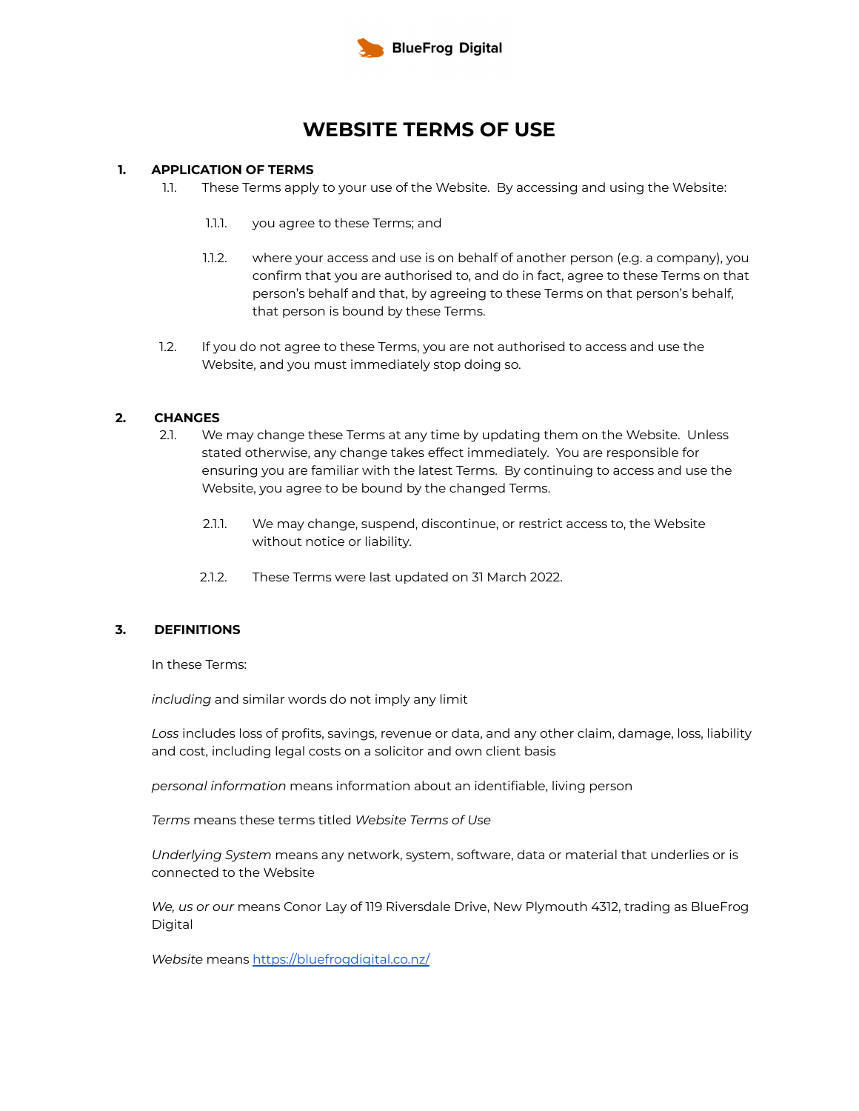

# **WEBSITE TERMS OF USE**

### **1. APPLICATION OF TERMS**

- 1.1. These Terms apply to your use of the Website. By accessing and using the Website:
	- 1.1.1. you agree to these Terms; and
	- 1.1.2. where your access and use is on behalf of another person (e.g. a company), you confirm that you are authorised to, and do in fact, agree to these Terms on that person's behalf and that, by agreeing to these Terms on that person's behalf, that person is bound by these Terms.
- 1.2. If you do not agree to these Terms, you are not authorised to access and use the Website, and you must immediately stop doing so.

### **2. CHANGES**

- 2.1. We may change these Terms at any time by updating them on the Website. Unless stated otherwise, any change takes effect immediately. You are responsible for ensuring you are familiar with the latest Terms. By continuing to access and use the Website, you agree to be bound by the changed Terms.
	- 2.1.1. We may change, suspend, discontinue, or restrict access to, the Website without notice or liability.
	- 2.1.2. These Terms were last updated on 31 March 2022.

### **3. DEFINITIONS**

In these Terms:

*including* and similar words do not imply any limit

*Loss* includes loss of profits, savings, revenue or data, and any other claim, damage, loss, liability and cost, including legal costs on a solicitor and own client basis

*personal information* means information about an identifiable, living person

*Terms* means these terms titled *Website Terms of Use*

*Underlying System* means any network, system, software, data or material that underlies or is connected to the Website

*We, us or our* means Conor Lay of 119 Riversdale Drive, New Plymouth 4312, trading as BlueFrog Digital

*Website* means <https://bluefrogdigital.co.nz/>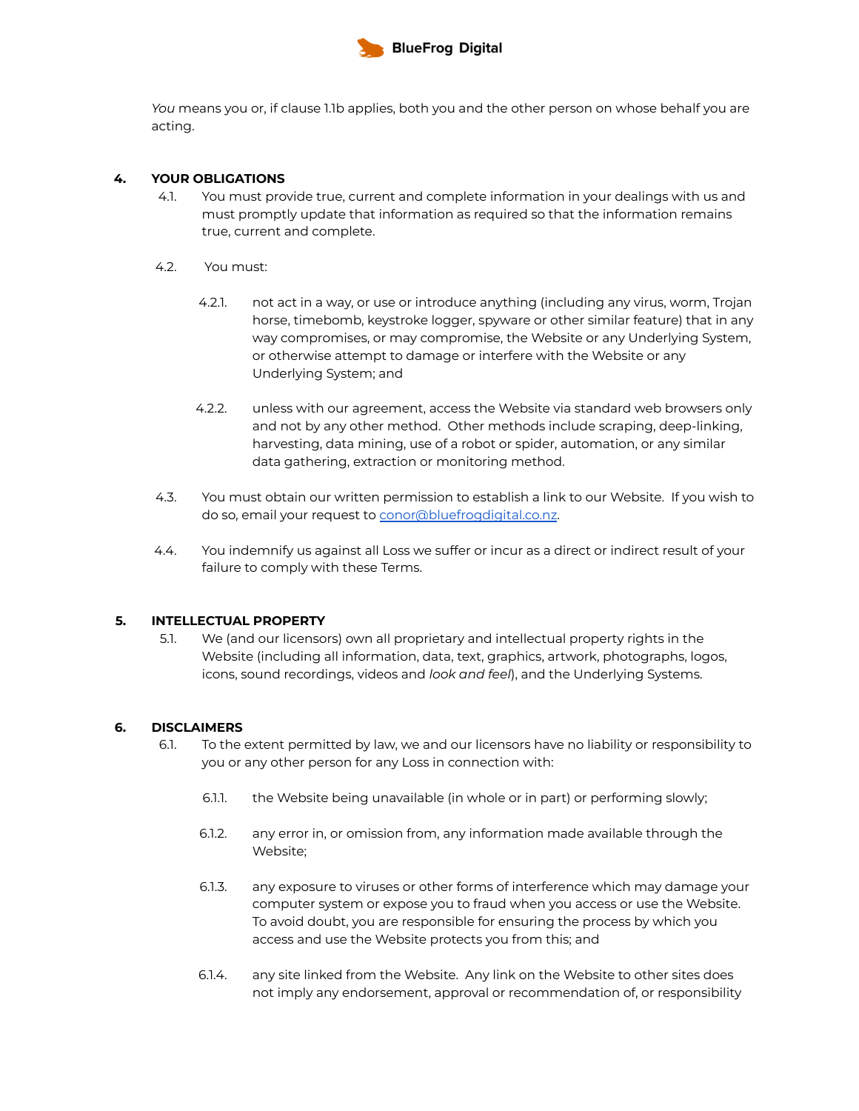

*You* means you or, if clause 1.1b applies, both you and the other person on whose behalf you are acting.

# **4. YOUR OBLIGATIONS**

- 4.1. You must provide true, current and complete information in your dealings with us and must promptly update that information as required so that the information remains true, current and complete.
- 4.2. You must:
	- 4.2.1. not act in a way, or use or introduce anything (including any virus, worm, Trojan horse, timebomb, keystroke logger, spyware or other similar feature) that in any way compromises, or may compromise, the Website or any Underlying System, or otherwise attempt to damage or interfere with the Website or any Underlying System; and
	- 4.2.2. unless with our agreement, access the Website via standard web browsers only and not by any other method. Other methods include scraping, deep-linking, harvesting, data mining, use of a robot or spider, automation, or any similar data gathering, extraction or monitoring method.
- 4.3. You must obtain our written permission to establish a link to our Website. If you wish to do so, email your request to [conor@bluefrogdigital.co.nz](mailto:conor@bluefrogdigital.co.nz).
- 4.4. You indemnify us against all Loss we suffer or incur as a direct or indirect result of your failure to comply with these Terms.

### **5. INTELLECTUAL PROPERTY**

5.1. We (and our licensors) own all proprietary and intellectual property rights in the Website (including all information, data, text, graphics, artwork, photographs, logos, icons, sound recordings, videos and *look and feel*), and the Underlying Systems.

### **6. DISCLAIMERS**

- 6.1. To the extent permitted by law, we and our licensors have no liability or responsibility to you or any other person for any Loss in connection with:
	- 6.1.1. the Website being unavailable (in whole or in part) or performing slowly;
	- 6.1.2. any error in, or omission from, any information made available through the Website;
	- 6.1.3. any exposure to viruses or other forms of interference which may damage your computer system or expose you to fraud when you access or use the Website. To avoid doubt, you are responsible for ensuring the process by which you access and use the Website protects you from this; and
	- 6.1.4. any site linked from the Website. Any link on the Website to other sites does not imply any endorsement, approval or recommendation of, or responsibility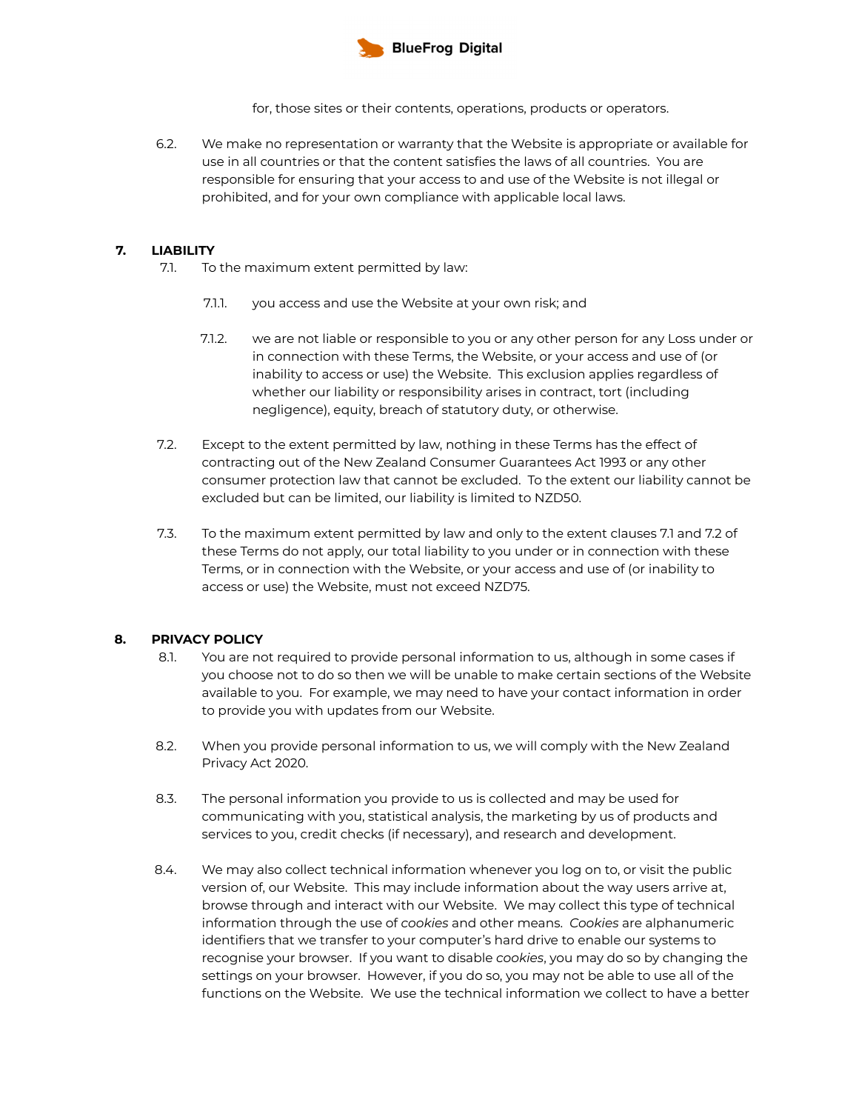

for, those sites or their contents, operations, products or operators.

6.2. We make no representation or warranty that the Website is appropriate or available for use in all countries or that the content satisfies the laws of all countries. You are responsible for ensuring that your access to and use of the Website is not illegal or prohibited, and for your own compliance with applicable local laws.

# **7. LIABILITY**

- 7.1. To the maximum extent permitted by law:
	- 7.1.1. you access and use the Website at your own risk; and
	- 7.1.2. we are not liable or responsible to you or any other person for any Loss under or in connection with these Terms, the Website, or your access and use of (or inability to access or use) the Website. This exclusion applies regardless of whether our liability or responsibility arises in contract, tort (including negligence), equity, breach of statutory duty, or otherwise.
- 7.2. Except to the extent permitted by law, nothing in these Terms has the effect of contracting out of the New Zealand Consumer Guarantees Act 1993 or any other consumer protection law that cannot be excluded. To the extent our liability cannot be excluded but can be limited, our liability is limited to NZD50.
- 7.3. To the maximum extent permitted by law and only to the extent clauses 7.1 and 7.2 of these Terms do not apply, our total liability to you under or in connection with these Terms, or in connection with the Website, or your access and use of (or inability to access or use) the Website, must not exceed NZD75.

### **8. PRIVACY POLICY**

- 8.1. You are not required to provide personal information to us, although in some cases if you choose not to do so then we will be unable to make certain sections of the Website available to you. For example, we may need to have your contact information in order to provide you with updates from our Website.
- 8.2. When you provide personal information to us, we will comply with the New Zealand Privacy Act 2020.
- 8.3. The personal information you provide to us is collected and may be used for communicating with you, statistical analysis, the marketing by us of products and services to you, credit checks (if necessary), and research and development.
- 8.4. We may also collect technical information whenever you log on to, or visit the public version of, our Website. This may include information about the way users arrive at, browse through and interact with our Website. We may collect this type of technical information through the use of *cookies* and other means. *Cookies* are alphanumeric identifiers that we transfer to your computer's hard drive to enable our systems to recognise your browser. If you want to disable *cookies*, you may do so by changing the settings on your browser. However, if you do so, you may not be able to use all of the functions on the Website. We use the technical information we collect to have a better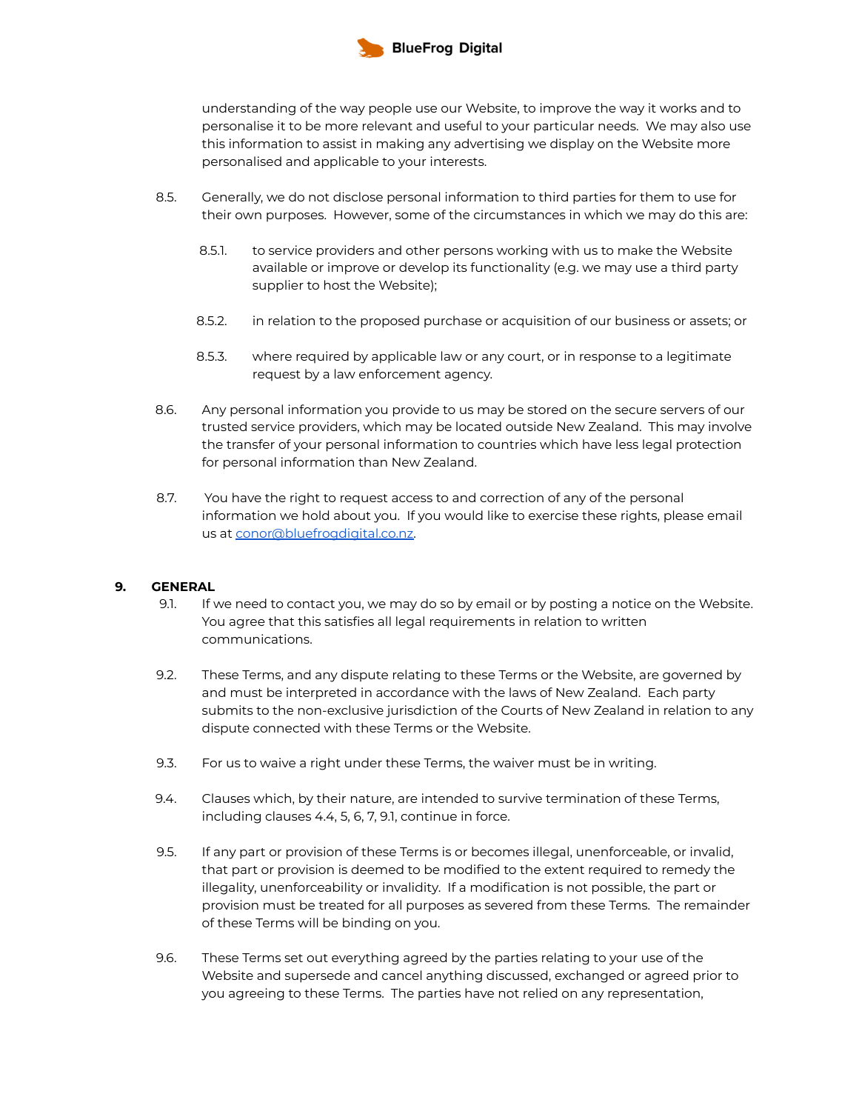

understanding of the way people use our Website, to improve the way it works and to personalise it to be more relevant and useful to your particular needs. We may also use this information to assist in making any advertising we display on the Website more personalised and applicable to your interests.

- 8.5. Generally, we do not disclose personal information to third parties for them to use for their own purposes. However, some of the circumstances in which we may do this are:
	- 8.5.1. to service providers and other persons working with us to make the Website available or improve or develop its functionality (e.g. we may use a third party supplier to host the Website);
	- 8.5.2. in relation to the proposed purchase or acquisition of our business or assets; or
	- 8.5.3. where required by applicable law or any court, or in response to a legitimate request by a law enforcement agency.
- 8.6. Any personal information you provide to us may be stored on the secure servers of our trusted service providers, which may be located outside New Zealand. This may involve the transfer of your personal information to countries which have less legal protection for personal information than New Zealand.
- 8.7. You have the right to request access to and correction of any of the personal information we hold about you. If you would like to exercise these rights, please email us at [conor@bluefrogdigital.co.nz.](mailto:conor@bluefrogdigital.co.nz)

### **9. GENERAL**

- 9.1. If we need to contact you, we may do so by email or by posting a notice on the Website. You agree that this satisfies all legal requirements in relation to written communications.
- 9.2. These Terms, and any dispute relating to these Terms or the Website, are governed by and must be interpreted in accordance with the laws of New Zealand. Each party submits to the non-exclusive jurisdiction of the Courts of New Zealand in relation to any dispute connected with these Terms or the Website.
- 9.3. For us to waive a right under these Terms, the waiver must be in writing.
- 9.4. Clauses which, by their nature, are intended to survive termination of these Terms, including clauses 4.4, 5, 6, 7, 9.1, continue in force.
- 9.5. If any part or provision of these Terms is or becomes illegal, unenforceable, or invalid, that part or provision is deemed to be modified to the extent required to remedy the illegality, unenforceability or invalidity. If a modification is not possible, the part or provision must be treated for all purposes as severed from these Terms. The remainder of these Terms will be binding on you.
- 9.6. These Terms set out everything agreed by the parties relating to your use of the Website and supersede and cancel anything discussed, exchanged or agreed prior to you agreeing to these Terms. The parties have not relied on any representation,